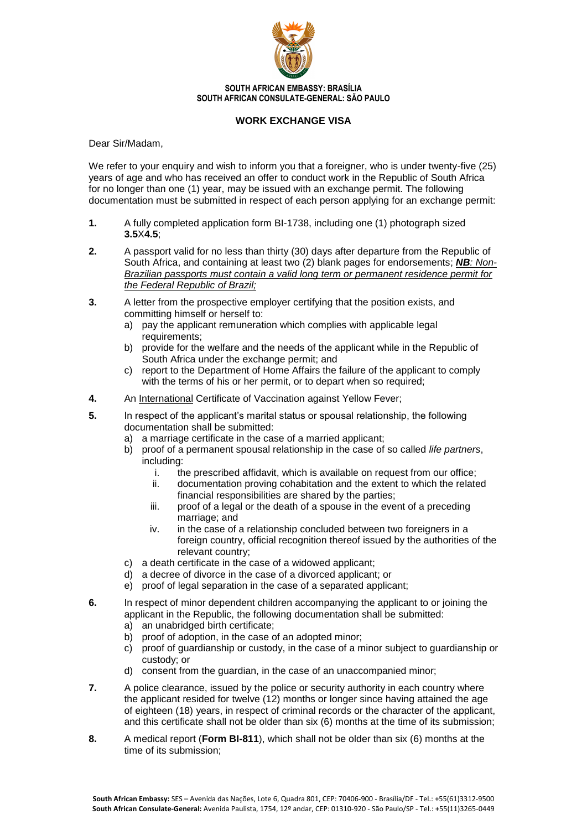

**SOUTH AFRICAN EMBASSY: BRASÍLIA SOUTH AFRICAN CONSULATE-GENERAL: SÃO PAULO**

## **WORK EXCHANGE VISA**

Dear Sir/Madam,

We refer to your enquiry and wish to inform you that a foreigner, who is under twenty-five (25) years of age and who has received an offer to conduct work in the Republic of South Africa for no longer than one (1) year, may be issued with an exchange permit. The following documentation must be submitted in respect of each person applying for an exchange permit:

- **1.** A fully completed application form BI-1738, including one (1) photograph sized **3.5**X**4.5**;
- **2.** A passport valid for no less than thirty (30) days after departure from the Republic of South Africa, and containing at least two (2) blank pages for endorsements; *NB: Non-Brazilian passports must contain a valid long term or permanent residence permit for the Federal Republic of Brazil;*
- **3.** A letter from the prospective employer certifying that the position exists, and committing himself or herself to:
	- a) pay the applicant remuneration which complies with applicable legal requirements;
	- b) provide for the welfare and the needs of the applicant while in the Republic of South Africa under the exchange permit; and
	- c) report to the Department of Home Affairs the failure of the applicant to comply with the terms of his or her permit, or to depart when so required;
- **4.** An International Certificate of Vaccination against Yellow Fever;
- **5.** In respect of the applicant's marital status or spousal relationship, the following documentation shall be submitted:
	- a) a marriage certificate in the case of a married applicant;
	- b) proof of a permanent spousal relationship in the case of so called *life partners*, including:
		- i. the prescribed affidavit, which is available on request from our office;
		- ii. documentation proving cohabitation and the extent to which the related financial responsibilities are shared by the parties;
		- iii. proof of a legal or the death of a spouse in the event of a preceding marriage; and
		- iv. in the case of a relationship concluded between two foreigners in a foreign country, official recognition thereof issued by the authorities of the relevant country;
	- c) a death certificate in the case of a widowed applicant;
	- d) a decree of divorce in the case of a divorced applicant; or
	- e) proof of legal separation in the case of a separated applicant;
- **6.** In respect of minor dependent children accompanying the applicant to or joining the applicant in the Republic, the following documentation shall be submitted:
	- a) an unabridged birth certificate;
	- b) proof of adoption, in the case of an adopted minor;
	- c) proof of guardianship or custody, in the case of a minor subject to guardianship or custody; or
	- d) consent from the guardian, in the case of an unaccompanied minor;
- **7.** A police clearance, issued by the police or security authority in each country where the applicant resided for twelve (12) months or longer since having attained the age of eighteen (18) years, in respect of criminal records or the character of the applicant, and this certificate shall not be older than six (6) months at the time of its submission;
- **8.** A medical report (**Form BI-811**), which shall not be older than six (6) months at the time of its submission;